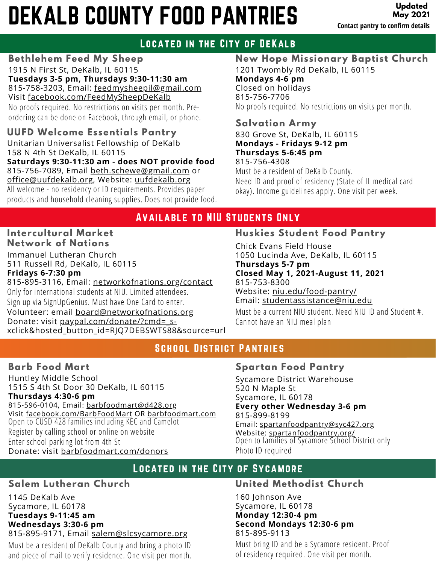# DEKALB COUNTY FOOD PANTRIES

**Updated May 2021 Contact pantry to confirm details**

# Located in the City of DeKalb

**Bethlehem Feed My Sheep** 1915 N First St, DeKalb, IL 60115 **Tuesdays 3-5 pm, Thursdays 9:30-11:30 am** 815-758-3203, Email: [feedmysheepil@gmail.com](mailto:feedmysheepil@gmail.com) Visit [facebook.com/FeedMySheepDeKalb](https://www.facebook.com/FeedMySheepDeKalb/)

No proofs required. No restrictions on visits per month. Preordering can be done on Facebook, through email, or phone.

**UUFD Welcome Essentials Pantry** Unitarian Universalist Fellowship of DeKalb 158 N 4th St DeKalb, IL 60115 **Saturdays 9:30-11:30 am - does NOT provide food** 815-756-7089, Email [beth.schewe@gmail.com](http://gmail.com/) or [office@uufdekalb.org,](http://uufdekalb.org/) Website: [uufdekalb.org](http://uufdekalb.org/) All welcome - no residency or ID requirements. Provides paper products and household cleaning supplies. Does not provide food. **New Hope Missionary Baptist Church** 1201 Twombly Rd DeKalb, IL 60115 **Mondays 4-6 pm** Closed on holidays 815-756-7706 No proofs required. No restrictions on visits per month.

### **Salvation Army**

830 Grove St, DeKalb, IL 60115 **Mondays - Fridays 9-12 pm Thursdays 5-6:45 pm** 815-756-4308

Must be a resident of DeKalb County. Need ID and proof of residency (State of IL medical card okay). Income guidelines apply. One visit per week.

## Available to NIU Students Only

#### **Intercultural Market Network of Nations**

Immanuel Lutheran Church 511 Russell Rd, DeKalb, IL 60115 **Fridays 6-7:30 pm**

815-895-3116, Email: [networkofnations.org/contact](http://newtoworkofnations.org/contact) Only for international students at NIU. Limited attendees. Sign up via SignUpGenius. Must have One Card to enter. Volunteer: email [board@networkofnations.org](http://networkofnations.org/) Donate: visit paypal.com/donate/?cmd= s[xclick&hosted\\_button\\_id=RJQ7DEBSWTS88&source=url](https://www.paypal.com/donate/?cmd=_s-xclick&hosted_button_id=RJQ7DEBSWTS88&source=url)

## **Huskies Student Food Pantry**

Chick Evans Field House 1050 Lucinda Ave, DeKalb, IL 60115 **Thursdays 5-7 pm Closed May 1, 2021-August 11, 2021** 815-753-8300 Website: [niu.edu/food-pantry/](https://www.niu.edu/food-pantry/) Email: [studentassistance@niu.edu](http://niu.edu/)

Must be a current NIU student. Need NIU ID and Student #. Cannot have an NIU meal plan

# School District Pantries

#### **Barb Food Mart**

Huntley Middle School 1515 S 4th St Door 30 DeKalb, IL 60115 **Thursdays 4:30-6 pm** 815-596-0104, Email: [barbfoodmart@d428.org](http://d428.org/) Visit [facebook.com/BarbFoodMart](https://www.facebook.com/barbfoodmart) OR [barbfoodmart.com](http://www.barbfoodmart.com/) Open to CUSD 428 families including KEC and Camelot Register by calling school or online on website Enter school parking lot from 4th St Donate: visit [barbfoodmart.com/donors](https://www.barbfoodmart.com/donors)

### **Spartan Food Pantry**

Sycamore District Warehouse 520 N Maple St Sycamore, IL 60178 **Every other Wednesday 3-6 pm** 815-899-8199 Email: [spartanfoodpantry@syc427.org](http://syc427.org/) Website: [spartanfoodpantry.org/](http://spartanfoodpantry.org/) Open to families of Sycamore School District only Photo ID required

## Located in the City of Sycamore

### **Salem Lutheran Church**

1145 DeKalb Ave Sycamore, IL 60178 **Tuesdays 9-11:45 am Wednesdays 3:30-6 pm** 815-895-9171, Email [salem@slcsycamore.org](http://slcsycamore.org/)

Must be a resident of DeKalb County and bring a photo ID and piece of mail to verify residence. One visit per month.

### **United Methodist Church**

160 Johnson Ave Sycamore, IL 60178 **Monday 12:30-4 pm Second Mondays 12:30-6 pm** 815-895-9113

Must bring ID and be a Sycamore resident. Proof of residency required. One visit per month.